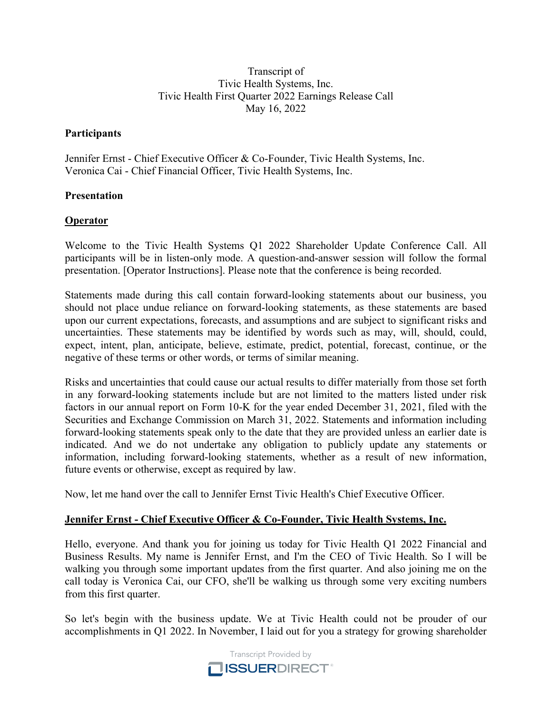#### Transcript of Tivic Health Systems, Inc. Tivic Health First Quarter 2022 Earnings Release Call May 16, 2022

#### **Participants**

Jennifer Ernst - Chief Executive Officer & Co-Founder, Tivic Health Systems, Inc. Veronica Cai - Chief Financial Officer, Tivic Health Systems, Inc.

#### **Presentation**

#### **Operator**

Welcome to the Tivic Health Systems Q1 2022 Shareholder Update Conference Call. All participants will be in listen-only mode. A question-and-answer session will follow the formal presentation. [Operator Instructions]. Please note that the conference is being recorded.

Statements made during this call contain forward-looking statements about our business, you should not place undue reliance on forward-looking statements, as these statements are based upon our current expectations, forecasts, and assumptions and are subject to significant risks and uncertainties. These statements may be identified by words such as may, will, should, could, expect, intent, plan, anticipate, believe, estimate, predict, potential, forecast, continue, or the negative of these terms or other words, or terms of similar meaning.

Risks and uncertainties that could cause our actual results to differ materially from those set forth in any forward-looking statements include but are not limited to the matters listed under risk factors in our annual report on Form 10-K for the year ended December 31, 2021, filed with the Securities and Exchange Commission on March 31, 2022. Statements and information including forward-looking statements speak only to the date that they are provided unless an earlier date is indicated. And we do not undertake any obligation to publicly update any statements or information, including forward-looking statements, whether as a result of new information, future events or otherwise, except as required by law.

Now, let me hand over the call to Jennifer Ernst Tivic Health's Chief Executive Officer.

## **Jennifer Ernst - Chief Executive Officer & Co-Founder, Tivic Health Systems, Inc.**

Hello, everyone. And thank you for joining us today for Tivic Health Q1 2022 Financial and Business Results. My name is Jennifer Ernst, and I'm the CEO of Tivic Health. So I will be walking you through some important updates from the first quarter. And also joining me on the call today is Veronica Cai, our CFO, she'll be walking us through some very exciting numbers from this first quarter.

So let's begin with the business update. We at Tivic Health could not be prouder of our accomplishments in Q1 2022. In November, I laid out for you a strategy for growing shareholder

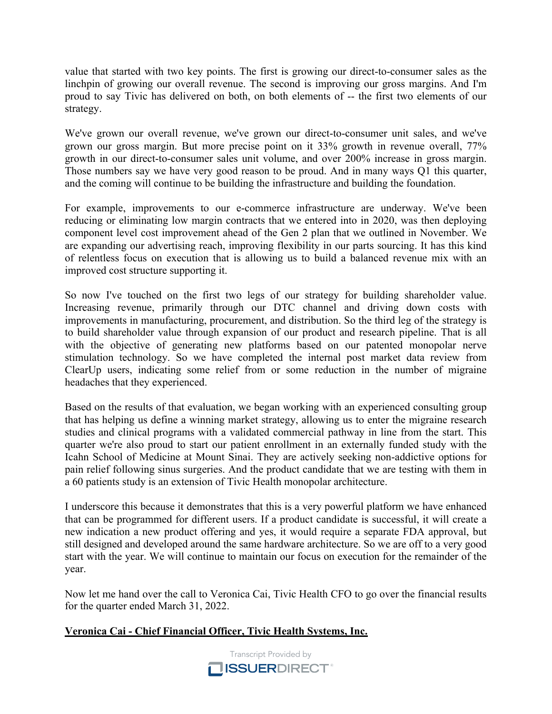value that started with two key points. The first is growing our direct-to-consumer sales as the linchpin of growing our overall revenue. The second is improving our gross margins. And I'm proud to say Tivic has delivered on both, on both elements of -- the first two elements of our strategy.

We've grown our overall revenue, we've grown our direct-to-consumer unit sales, and we've grown our gross margin. But more precise point on it 33% growth in revenue overall, 77% growth in our direct-to-consumer sales unit volume, and over 200% increase in gross margin. Those numbers say we have very good reason to be proud. And in many ways Q1 this quarter, and the coming will continue to be building the infrastructure and building the foundation.

For example, improvements to our e-commerce infrastructure are underway. We've been reducing or eliminating low margin contracts that we entered into in 2020, was then deploying component level cost improvement ahead of the Gen 2 plan that we outlined in November. We are expanding our advertising reach, improving flexibility in our parts sourcing. It has this kind of relentless focus on execution that is allowing us to build a balanced revenue mix with an improved cost structure supporting it.

So now I've touched on the first two legs of our strategy for building shareholder value. Increasing revenue, primarily through our DTC channel and driving down costs with improvements in manufacturing, procurement, and distribution. So the third leg of the strategy is to build shareholder value through expansion of our product and research pipeline. That is all with the objective of generating new platforms based on our patented monopolar nerve stimulation technology. So we have completed the internal post market data review from ClearUp users, indicating some relief from or some reduction in the number of migraine headaches that they experienced.

Based on the results of that evaluation, we began working with an experienced consulting group that has helping us define a winning market strategy, allowing us to enter the migraine research studies and clinical programs with a validated commercial pathway in line from the start. This quarter we're also proud to start our patient enrollment in an externally funded study with the Icahn School of Medicine at Mount Sinai. They are actively seeking non-addictive options for pain relief following sinus surgeries. And the product candidate that we are testing with them in a 60 patients study is an extension of Tivic Health monopolar architecture.

I underscore this because it demonstrates that this is a very powerful platform we have enhanced that can be programmed for different users. If a product candidate is successful, it will create a new indication a new product offering and yes, it would require a separate FDA approval, but still designed and developed around the same hardware architecture. So we are off to a very good start with the year. We will continue to maintain our focus on execution for the remainder of the year.

Now let me hand over the call to Veronica Cai, Tivic Health CFO to go over the financial results for the quarter ended March 31, 2022.

## **Veronica Cai - Chief Financial Officer, Tivic Health Systems, Inc.**

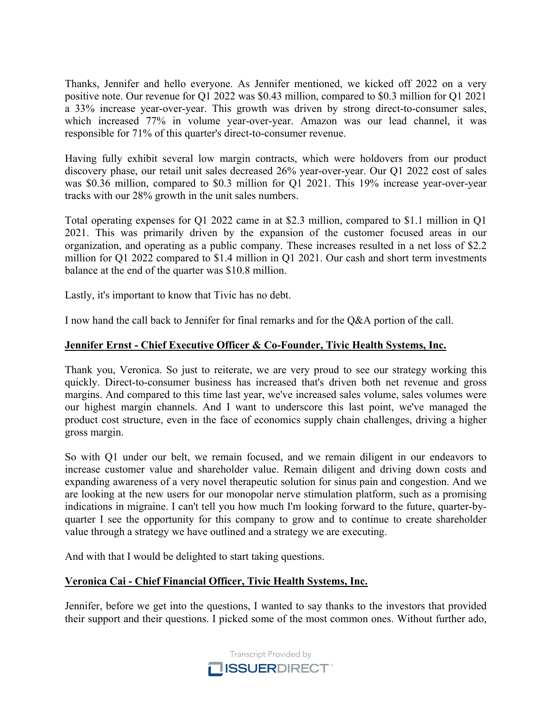Thanks, Jennifer and hello everyone. As Jennifer mentioned, we kicked off 2022 on a very positive note. Our revenue for Q1 2022 was \$0.43 million, compared to \$0.3 million for Q1 2021 a 33% increase year-over-year. This growth was driven by strong direct-to-consumer sales, which increased 77% in volume year-over-year. Amazon was our lead channel, it was responsible for 71% of this quarter's direct-to-consumer revenue.

Having fully exhibit several low margin contracts, which were holdovers from our product discovery phase, our retail unit sales decreased 26% year-over-year. Our Q1 2022 cost of sales was \$0.36 million, compared to \$0.3 million for Q1 2021. This 19% increase year-over-year tracks with our 28% growth in the unit sales numbers.

Total operating expenses for Q1 2022 came in at \$2.3 million, compared to \$1.1 million in Q1 2021. This was primarily driven by the expansion of the customer focused areas in our organization, and operating as a public company. These increases resulted in a net loss of \$2.2 million for Q1 2022 compared to \$1.4 million in Q1 2021. Our cash and short term investments balance at the end of the quarter was \$10.8 million.

Lastly, it's important to know that Tivic has no debt.

I now hand the call back to Jennifer for final remarks and for the Q&A portion of the call.

#### **Jennifer Ernst - Chief Executive Officer & Co-Founder, Tivic Health Systems, Inc.**

Thank you, Veronica. So just to reiterate, we are very proud to see our strategy working this quickly. Direct-to-consumer business has increased that's driven both net revenue and gross margins. And compared to this time last year, we've increased sales volume, sales volumes were our highest margin channels. And I want to underscore this last point, we've managed the product cost structure, even in the face of economics supply chain challenges, driving a higher gross margin.

So with Q1 under our belt, we remain focused, and we remain diligent in our endeavors to increase customer value and shareholder value. Remain diligent and driving down costs and expanding awareness of a very novel therapeutic solution for sinus pain and congestion. And we are looking at the new users for our monopolar nerve stimulation platform, such as a promising indications in migraine. I can't tell you how much I'm looking forward to the future, quarter-byquarter I see the opportunity for this company to grow and to continue to create shareholder value through a strategy we have outlined and a strategy we are executing.

And with that I would be delighted to start taking questions.

## **Veronica Cai - Chief Financial Officer, Tivic Health Systems, Inc.**

Jennifer, before we get into the questions, I wanted to say thanks to the investors that provided their support and their questions. I picked some of the most common ones. Without further ado,

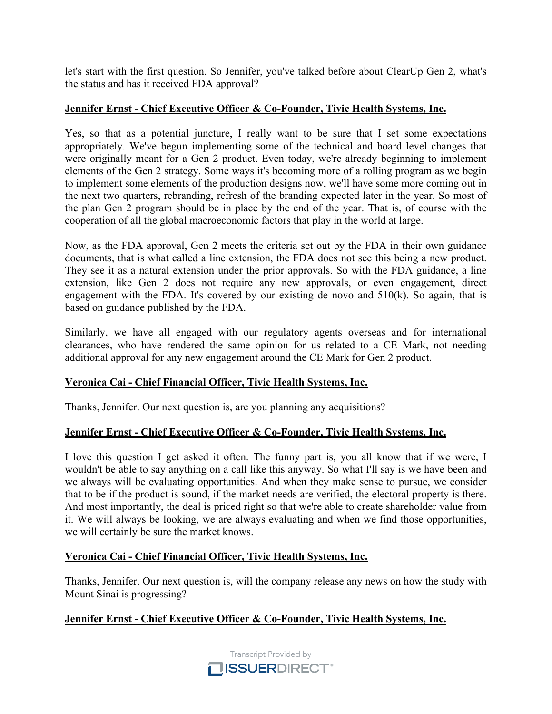let's start with the first question. So Jennifer, you've talked before about ClearUp Gen 2, what's the status and has it received FDA approval?

## **Jennifer Ernst - Chief Executive Officer & Co-Founder, Tivic Health Systems, Inc.**

Yes, so that as a potential juncture, I really want to be sure that I set some expectations appropriately. We've begun implementing some of the technical and board level changes that were originally meant for a Gen 2 product. Even today, we're already beginning to implement elements of the Gen 2 strategy. Some ways it's becoming more of a rolling program as we begin to implement some elements of the production designs now, we'll have some more coming out in the next two quarters, rebranding, refresh of the branding expected later in the year. So most of the plan Gen 2 program should be in place by the end of the year. That is, of course with the cooperation of all the global macroeconomic factors that play in the world at large.

Now, as the FDA approval, Gen 2 meets the criteria set out by the FDA in their own guidance documents, that is what called a line extension, the FDA does not see this being a new product. They see it as a natural extension under the prior approvals. So with the FDA guidance, a line extension, like Gen 2 does not require any new approvals, or even engagement, direct engagement with the FDA. It's covered by our existing de novo and  $510(k)$ . So again, that is based on guidance published by the FDA.

Similarly, we have all engaged with our regulatory agents overseas and for international clearances, who have rendered the same opinion for us related to a CE Mark, not needing additional approval for any new engagement around the CE Mark for Gen 2 product.

## **Veronica Cai - Chief Financial Officer, Tivic Health Systems, Inc.**

Thanks, Jennifer. Our next question is, are you planning any acquisitions?

#### **Jennifer Ernst - Chief Executive Officer & Co-Founder, Tivic Health Systems, Inc.**

I love this question I get asked it often. The funny part is, you all know that if we were, I wouldn't be able to say anything on a call like this anyway. So what I'll say is we have been and we always will be evaluating opportunities. And when they make sense to pursue, we consider that to be if the product is sound, if the market needs are verified, the electoral property is there. And most importantly, the deal is priced right so that we're able to create shareholder value from it. We will always be looking, we are always evaluating and when we find those opportunities, we will certainly be sure the market knows.

## **Veronica Cai - Chief Financial Officer, Tivic Health Systems, Inc.**

Thanks, Jennifer. Our next question is, will the company release any news on how the study with Mount Sinai is progressing?

## **Jennifer Ernst - Chief Executive Officer & Co-Founder, Tivic Health Systems, Inc.**

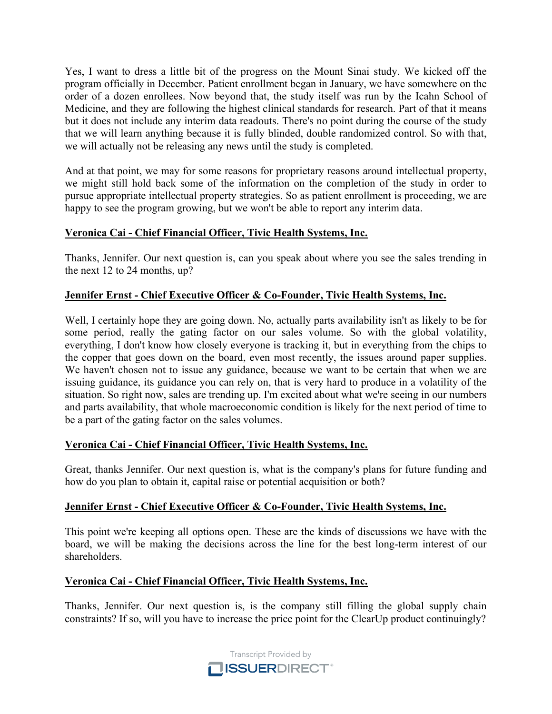Yes, I want to dress a little bit of the progress on the Mount Sinai study. We kicked off the program officially in December. Patient enrollment began in January, we have somewhere on the order of a dozen enrollees. Now beyond that, the study itself was run by the Icahn School of Medicine, and they are following the highest clinical standards for research. Part of that it means but it does not include any interim data readouts. There's no point during the course of the study that we will learn anything because it is fully blinded, double randomized control. So with that, we will actually not be releasing any news until the study is completed.

And at that point, we may for some reasons for proprietary reasons around intellectual property, we might still hold back some of the information on the completion of the study in order to pursue appropriate intellectual property strategies. So as patient enrollment is proceeding, we are happy to see the program growing, but we won't be able to report any interim data.

# **Veronica Cai - Chief Financial Officer, Tivic Health Systems, Inc.**

Thanks, Jennifer. Our next question is, can you speak about where you see the sales trending in the next 12 to 24 months, up?

## **Jennifer Ernst - Chief Executive Officer & Co-Founder, Tivic Health Systems, Inc.**

Well, I certainly hope they are going down. No, actually parts availability isn't as likely to be for some period, really the gating factor on our sales volume. So with the global volatility, everything, I don't know how closely everyone is tracking it, but in everything from the chips to the copper that goes down on the board, even most recently, the issues around paper supplies. We haven't chosen not to issue any guidance, because we want to be certain that when we are issuing guidance, its guidance you can rely on, that is very hard to produce in a volatility of the situation. So right now, sales are trending up. I'm excited about what we're seeing in our numbers and parts availability, that whole macroeconomic condition is likely for the next period of time to be a part of the gating factor on the sales volumes.

## **Veronica Cai - Chief Financial Officer, Tivic Health Systems, Inc.**

Great, thanks Jennifer. Our next question is, what is the company's plans for future funding and how do you plan to obtain it, capital raise or potential acquisition or both?

## **Jennifer Ernst - Chief Executive Officer & Co-Founder, Tivic Health Systems, Inc.**

This point we're keeping all options open. These are the kinds of discussions we have with the board, we will be making the decisions across the line for the best long-term interest of our shareholders.

## **Veronica Cai - Chief Financial Officer, Tivic Health Systems, Inc.**

Thanks, Jennifer. Our next question is, is the company still filling the global supply chain constraints? If so, will you have to increase the price point for the ClearUp product continuingly?